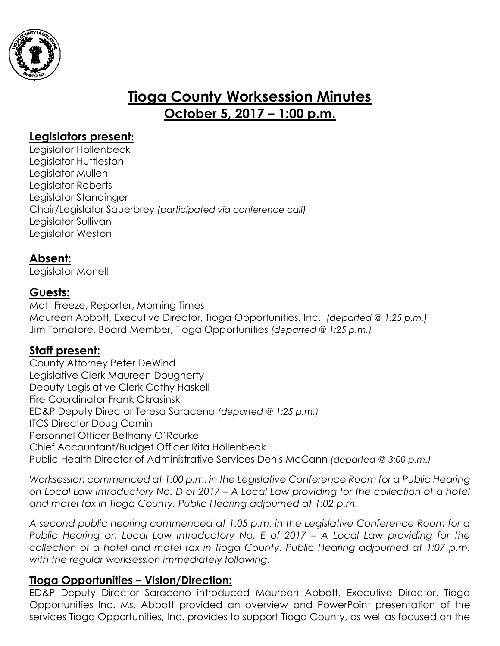

# **Tioga County Worksession Minutes October 5, 2017 – 1:00 p.m.**

## **Legislators present:**

Legislator Hollenbeck Legislator Huttleston Legislator Mullen Legislator Roberts Legislator Standinger Chair/Legislator Sauerbrey *(participated via conference call)* Legislator Sullivan Legislator Weston

# **Absent:**

Legislator Monell

# **Guests:**

Matt Freeze, Reporter, Morning Times Maureen Abbott, Executive Director, Tioga Opportunities, Inc. *(departed @ 1:25 p.m.)* Jim Tornatore, Board Member, Tioga Opportunities *(departed @ 1:25 p.m.)*

### **Staff present:**

County Attorney Peter DeWind Legislative Clerk Maureen Dougherty Deputy Legislative Clerk Cathy Haskell Fire Coordinator Frank Okrasinski ED&P Deputy Director Teresa Saraceno *(departed @ 1:25 p.m.)* ITCS Director Doug Camin Personnel Officer Bethany O'Rourke Chief Accountant/Budget Officer Rita Hollenbeck Public Health Director of Administrative Services Denis McCann *(departed @ 3:00 p.m.)*

*Worksession commenced at 1:00 p.m. in the Legislative Conference Room for a Public Hearing on Local Law Introductory No. D of 2017 – A Local Law providing for the collection of a hotel and motel tax in Tioga County. Public Hearing adjourned at 1:02 p.m.* 

*A second public hearing commenced at 1:05 p.m. in the Legislative Conference Room for a Public Hearing on Local Law Introductory No. E of 2017 – A Local Law providing for the collection of a hotel and motel tax in Tioga County. Public Hearing adjourned at 1:07 p.m. with the regular worksession immediately following.* 

### **Tioga Opportunities – Vision/Direction:**

ED&P Deputy Director Saraceno introduced Maureen Abbott, Executive Director, Tioga Opportunities Inc. Ms. Abbott provided an overview and PowerPoint presentation of the services Tioga Opportunities, Inc. provides to support Tioga County, as well as focused on the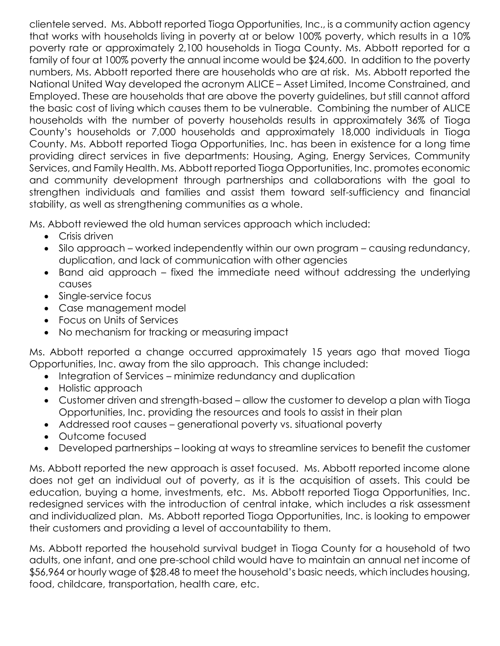clientele served. Ms. Abbott reported Tioga Opportunities, Inc., is a community action agency that works with households living in poverty at or below 100% poverty, which results in a 10% poverty rate or approximately 2,100 households in Tioga County. Ms. Abbott reported for a family of four at 100% poverty the annual income would be \$24,600. In addition to the poverty numbers, Ms. Abbott reported there are households who are at risk. Ms. Abbott reported the National United Way developed the acronym ALICE – Asset Limited, Income Constrained, and Employed. These are households that are above the poverty guidelines, but still cannot afford the basic cost of living which causes them to be vulnerable. Combining the number of ALICE households with the number of poverty households results in approximately 36% of Tioga County's households or 7,000 households and approximately 18,000 individuals in Tioga County. Ms. Abbott reported Tioga Opportunities, Inc. has been in existence for a long time providing direct services in five departments: Housing, Aging, Energy Services, Community Services, and Family Health. Ms. Abbott reported Tioga Opportunities, Inc. promotes economic and community development through partnerships and collaborations with the goal to strengthen individuals and families and assist them toward self-sufficiency and financial stability, as well as strengthening communities as a whole.

Ms. Abbott reviewed the old human services approach which included:

- Crisis driven
- Silo approach worked independently within our own program causing redundancy, duplication, and lack of communication with other agencies
- Band aid approach fixed the immediate need without addressing the underlying causes
- Single-service focus
- Case management model
- Focus on Units of Services
- No mechanism for tracking or measuring impact

Ms. Abbott reported a change occurred approximately 15 years ago that moved Tioga Opportunities, Inc. away from the silo approach. This change included:

- Integration of Services minimize redundancy and duplication
- Holistic approach
- Customer driven and strength-based allow the customer to develop a plan with Tioga Opportunities, Inc. providing the resources and tools to assist in their plan
- Addressed root causes generational poverty vs. situational poverty
- Outcome focused
- Developed partnerships looking at ways to streamline services to benefit the customer

Ms. Abbott reported the new approach is asset focused. Ms. Abbott reported income alone does not get an individual out of poverty, as it is the acquisition of assets. This could be education, buying a home, investments, etc. Ms. Abbott reported Tioga Opportunities, Inc. redesigned services with the introduction of central intake, which includes a risk assessment and individualized plan. Ms. Abbott reported Tioga Opportunities, Inc. is looking to empower their customers and providing a level of accountability to them.

Ms. Abbott reported the household survival budget in Tioga County for a household of two adults, one infant, and one pre-school child would have to maintain an annual net income of \$56,964 or hourly wage of \$28.48 to meet the household's basic needs, which includes housing, food, childcare, transportation, health care, etc.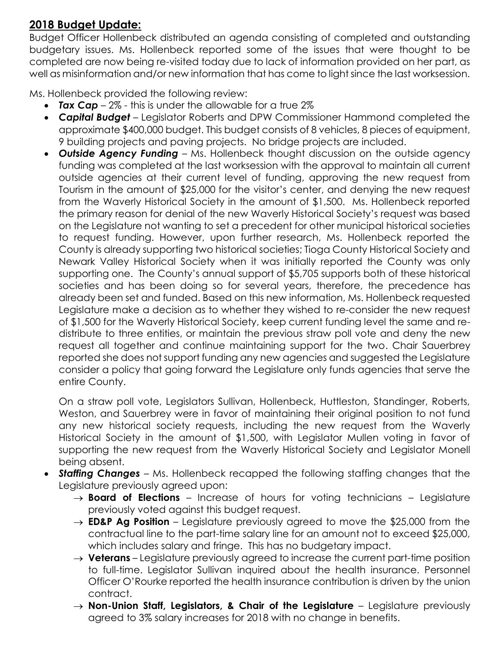# **2018 Budget Update:**

Budget Officer Hollenbeck distributed an agenda consisting of completed and outstanding budgetary issues. Ms. Hollenbeck reported some of the issues that were thought to be completed are now being re-visited today due to lack of information provided on her part, as well as misinformation and/or new information that has come to light since the last worksession.

Ms. Hollenbeck provided the following review:

- **Tax Cap** 2% this is under the allowable for a true 2%
- *Capital Budget*  Legislator Roberts and DPW Commissioner Hammond completed the approximate \$400,000 budget. This budget consists of 8 vehicles, 8 pieces of equipment, 9 building projects and paving projects. No bridge projects are included.
- *Outside Agency Funding*  Ms. Hollenbeck thought discussion on the outside agency funding was completed at the last worksession with the approval to maintain all current outside agencies at their current level of funding, approving the new request from Tourism in the amount of \$25,000 for the visitor's center, and denying the new request from the Waverly Historical Society in the amount of \$1,500. Ms. Hollenbeck reported the primary reason for denial of the new Waverly Historical Society's request was based on the Legislature not wanting to set a precedent for other municipal historical societies to request funding. However, upon further research, Ms. Hollenbeck reported the County is already supporting two historical societies; Tioga County Historical Society and Newark Valley Historical Society when it was initially reported the County was only supporting one. The County's annual support of \$5,705 supports both of these historical societies and has been doing so for several years, therefore, the precedence has already been set and funded. Based on this new information, Ms. Hollenbeck requested Legislature make a decision as to whether they wished to re-consider the new request of \$1,500 for the Waverly Historical Society, keep current funding level the same and redistribute to three entities, or maintain the previous straw poll vote and deny the new request all together and continue maintaining support for the two. Chair Sauerbrey reported she does not support funding any new agencies and suggested the Legislature consider a policy that going forward the Legislature only funds agencies that serve the entire County.

On a straw poll vote, Legislators Sullivan, Hollenbeck, Huttleston, Standinger, Roberts, Weston, and Sauerbrey were in favor of maintaining their original position to not fund any new historical society requests, including the new request from the Waverly Historical Society in the amount of \$1,500, with Legislator Mullen voting in favor of supporting the new request from the Waverly Historical Society and Legislator Monell being absent.

- *Staffing Changes* Ms. Hollenbeck recapped the following staffing changes that the Legislature previously agreed upon:
	- $\rightarrow$  **Board of Elections** Increase of hours for voting technicians Legislature previously voted against this budget request.
	- $\rightarrow$  **ED&P Ag Position** Legislature previously agreed to move the \$25,000 from the contractual line to the part-time salary line for an amount not to exceed \$25,000, which includes salary and fringe. This has no budgetary impact.
	- $\rightarrow$  **Veterans** Legislature previously agreed to increase the current part-time position to full-time. Legislator Sullivan inquired about the health insurance. Personnel Officer O'Rourke reported the health insurance contribution is driven by the union contract.
	- **Non-Union Staff, Legislators, & Chair of the Legislature** Legislature previously agreed to 3% salary increases for 2018 with no change in benefits.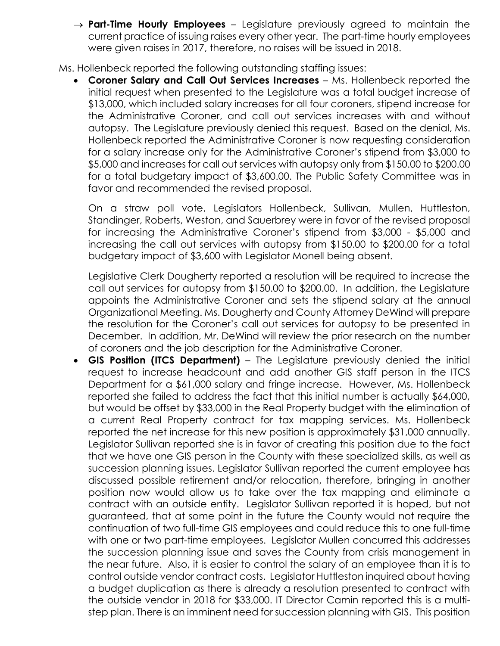$\rightarrow$  **Part-Time Hourly Employees** – Legislature previously agreed to maintain the current practice of issuing raises every other year. The part-time hourly employees were given raises in 2017, therefore, no raises will be issued in 2018.

Ms. Hollenbeck reported the following outstanding staffing issues:

 **Coroner Salary and Call Out Services Increases** – Ms. Hollenbeck reported the initial request when presented to the Legislature was a total budget increase of \$13,000, which included salary increases for all four coroners, stipend increase for the Administrative Coroner, and call out services increases with and without autopsy. The Legislature previously denied this request. Based on the denial, Ms. Hollenbeck reported the Administrative Coroner is now requesting consideration for a salary increase only for the Administrative Coroner's stipend from \$3,000 to \$5,000 and increases for call out services with autopsy only from \$150.00 to \$200.00 for a total budgetary impact of \$3,600.00. The Public Safety Committee was in favor and recommended the revised proposal.

On a straw poll vote, Legislators Hollenbeck, Sullivan, Mullen, Huttleston, Standinger, Roberts, Weston, and Sauerbrey were in favor of the revised proposal for increasing the Administrative Coroner's stipend from \$3,000 - \$5,000 and increasing the call out services with autopsy from \$150.00 to \$200.00 for a total budgetary impact of \$3,600 with Legislator Monell being absent.

Legislative Clerk Dougherty reported a resolution will be required to increase the call out services for autopsy from \$150.00 to \$200.00. In addition, the Legislature appoints the Administrative Coroner and sets the stipend salary at the annual Organizational Meeting. Ms. Dougherty and County Attorney DeWind will prepare the resolution for the Coroner's call out services for autopsy to be presented in December. In addition, Mr. DeWind will review the prior research on the number of coroners and the job description for the Administrative Coroner.

 **GIS Position (ITCS Department)** – The Legislature previously denied the initial request to increase headcount and add another GIS staff person in the ITCS Department for a \$61,000 salary and fringe increase. However, Ms. Hollenbeck reported she failed to address the fact that this initial number is actually \$64,000, but would be offset by \$33,000 in the Real Property budget with the elimination of a current Real Property contract for tax mapping services. Ms. Hollenbeck reported the net increase for this new position is approximately \$31,000 annually. Legislator Sullivan reported she is in favor of creating this position due to the fact that we have one GIS person in the County with these specialized skills, as well as succession planning issues. Legislator Sullivan reported the current employee has discussed possible retirement and/or relocation, therefore, bringing in another position now would allow us to take over the tax mapping and eliminate a contract with an outside entity. Legislator Sullivan reported it is hoped, but not guaranteed, that at some point in the future the County would not require the continuation of two full-time GIS employees and could reduce this to one full-time with one or two part-time employees. Legislator Mullen concurred this addresses the succession planning issue and saves the County from crisis management in the near future. Also, it is easier to control the salary of an employee than it is to control outside vendor contract costs. Legislator Huttleston inquired about having a budget duplication as there is already a resolution presented to contract with the outside vendor in 2018 for \$33,000. IT Director Camin reported this is a multistep plan. There is an imminent need for succession planning with GIS. This position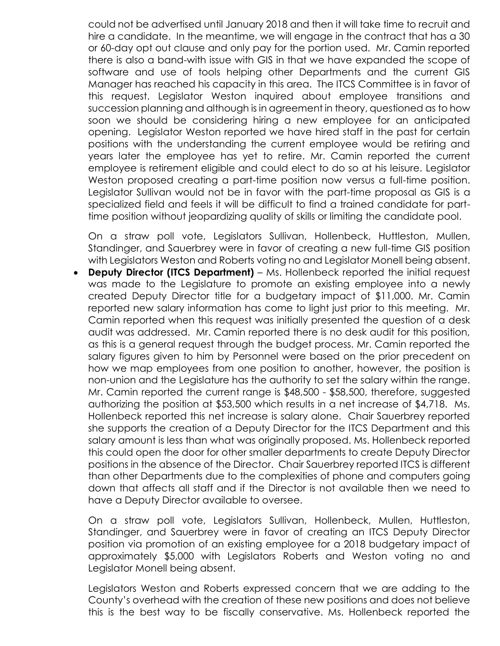could not be advertised until January 2018 and then it will take time to recruit and hire a candidate. In the meantime, we will engage in the contract that has a 30 or 60-day opt out clause and only pay for the portion used. Mr. Camin reported there is also a band-with issue with GIS in that we have expanded the scope of software and use of tools helping other Departments and the current GIS Manager has reached his capacity in this area. The ITCS Committee is in favor of this request. Legislator Weston inquired about employee transitions and succession planning and although is in agreement in theory, questioned as to how soon we should be considering hiring a new employee for an anticipated opening. Legislator Weston reported we have hired staff in the past for certain positions with the understanding the current employee would be retiring and years later the employee has yet to retire. Mr. Camin reported the current employee is retirement eligible and could elect to do so at his leisure. Legislator Weston proposed creating a part-time position now versus a full-time position. Legislator Sullivan would not be in favor with the part-time proposal as GIS is a specialized field and feels it will be difficult to find a trained candidate for parttime position without jeopardizing quality of skills or limiting the candidate pool.

On a straw poll vote, Legislators Sullivan, Hollenbeck, Huttleston, Mullen, Standinger, and Sauerbrey were in favor of creating a new full-time GIS position with Legislators Weston and Roberts voting no and Legislator Monell being absent.

 **Deputy Director (ITCS Department)** – Ms. Hollenbeck reported the initial request was made to the Legislature to promote an existing employee into a newly created Deputy Director title for a budgetary impact of \$11,000. Mr. Camin reported new salary information has come to light just prior to this meeting. Mr. Camin reported when this request was initially presented the question of a desk audit was addressed. Mr. Camin reported there is no desk audit for this position, as this is a general request through the budget process. Mr. Camin reported the salary figures given to him by Personnel were based on the prior precedent on how we map employees from one position to another, however, the position is non-union and the Legislature has the authority to set the salary within the range. Mr. Camin reported the current range is \$48,500 - \$58,500, therefore, suggested authorizing the position at \$53,500 which results in a net increase of \$4,718. Ms. Hollenbeck reported this net increase is salary alone. Chair Sauerbrey reported she supports the creation of a Deputy Director for the ITCS Department and this salary amount is less than what was originally proposed. Ms. Hollenbeck reported this could open the door for other smaller departments to create Deputy Director positions in the absence of the Director. Chair Sauerbrey reported ITCS is different than other Departments due to the complexities of phone and computers going down that affects all staff and if the Director is not available then we need to have a Deputy Director available to oversee.

On a straw poll vote, Legislators Sullivan, Hollenbeck, Mullen, Huttleston, Standinger, and Sauerbrey were in favor of creating an ITCS Deputy Director position via promotion of an existing employee for a 2018 budgetary impact of approximately \$5,000 with Legislators Roberts and Weston voting no and Legislator Monell being absent.

Legislators Weston and Roberts expressed concern that we are adding to the County's overhead with the creation of these new positions and does not believe this is the best way to be fiscally conservative. Ms. Hollenbeck reported the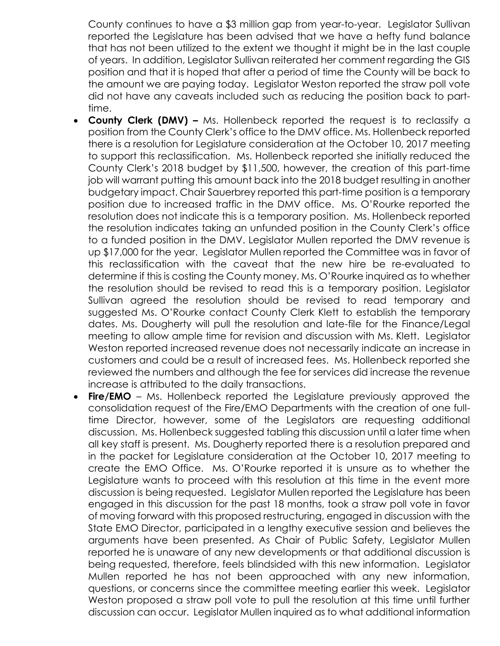County continues to have a \$3 million gap from year-to-year. Legislator Sullivan reported the Legislature has been advised that we have a hefty fund balance that has not been utilized to the extent we thought it might be in the last couple of years. In addition, Legislator Sullivan reiterated her comment regarding the GIS position and that it is hoped that after a period of time the County will be back to the amount we are paying today. Legislator Weston reported the straw poll vote did not have any caveats included such as reducing the position back to parttime.

- **County Clerk (DMV) –** Ms. Hollenbeck reported the request is to reclassify a position from the County Clerk's office to the DMV office. Ms. Hollenbeck reported there is a resolution for Legislature consideration at the October 10, 2017 meeting to support this reclassification. Ms. Hollenbeck reported she initially reduced the County Clerk's 2018 budget by \$11,500, however, the creation of this part-time job will warrant putting this amount back into the 2018 budget resulting in another budgetary impact. Chair Sauerbrey reported this part-time position is a temporary position due to increased traffic in the DMV office. Ms. O'Rourke reported the resolution does not indicate this is a temporary position. Ms. Hollenbeck reported the resolution indicates taking an unfunded position in the County Clerk's office to a funded position in the DMV. Legislator Mullen reported the DMV revenue is up \$17,000 for the year. Legislator Mullen reported the Committee was in favor of this reclassification with the caveat that the new hire be re-evaluated to determine if this is costing the County money. Ms. O'Rourke inquired as to whether the resolution should be revised to read this is a temporary position. Legislator Sullivan agreed the resolution should be revised to read temporary and suggested Ms. O'Rourke contact County Clerk Klett to establish the temporary dates. Ms. Dougherty will pull the resolution and late-file for the Finance/Legal meeting to allow ample time for revision and discussion with Ms. Klett. Legislator Weston reported increased revenue does not necessarily indicate an increase in customers and could be a result of increased fees. Ms. Hollenbeck reported she reviewed the numbers and although the fee for services did increase the revenue increase is attributed to the daily transactions.
- **Fire/EMO** Ms. Hollenbeck reported the Legislature previously approved the consolidation request of the Fire/EMO Departments with the creation of one fulltime Director, however, some of the Legislators are requesting additional discussion. Ms. Hollenbeck suggested tabling this discussion until a later time when all key staff is present. Ms. Dougherty reported there is a resolution prepared and in the packet for Legislature consideration at the October 10, 2017 meeting to create the EMO Office. Ms. O'Rourke reported it is unsure as to whether the Legislature wants to proceed with this resolution at this time in the event more discussion is being requested. Legislator Mullen reported the Legislature has been engaged in this discussion for the past 18 months, took a straw poll vote in favor of moving forward with this proposed restructuring, engaged in discussion with the State EMO Director, participated in a lengthy executive session and believes the arguments have been presented. As Chair of Public Safety, Legislator Mullen reported he is unaware of any new developments or that additional discussion is being requested, therefore, feels blindsided with this new information. Legislator Mullen reported he has not been approached with any new information, questions, or concerns since the committee meeting earlier this week. Legislator Weston proposed a straw poll vote to pull the resolution at this time until further discussion can occur. Legislator Mullen inquired as to what additional information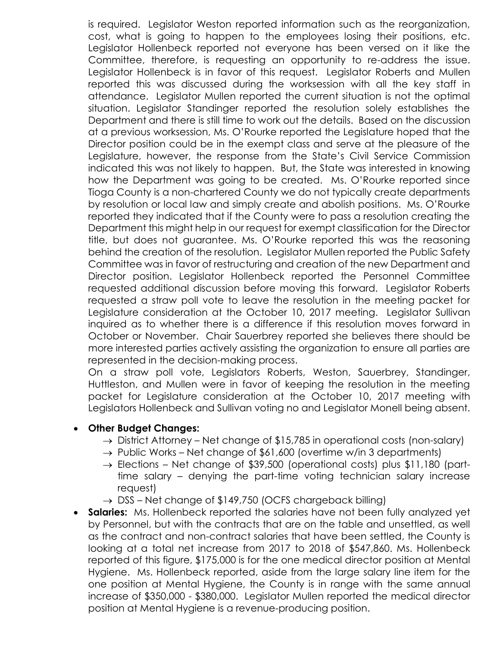is required. Legislator Weston reported information such as the reorganization, cost, what is going to happen to the employees losing their positions, etc. Legislator Hollenbeck reported not everyone has been versed on it like the Committee, therefore, is requesting an opportunity to re-address the issue. Legislator Hollenbeck is in favor of this request. Legislator Roberts and Mullen reported this was discussed during the worksession with all the key staff in attendance. Legislator Mullen reported the current situation is not the optimal situation. Legislator Standinger reported the resolution solely establishes the Department and there is still time to work out the details. Based on the discussion at a previous worksession, Ms. O'Rourke reported the Legislature hoped that the Director position could be in the exempt class and serve at the pleasure of the Legislature, however, the response from the State's Civil Service Commission indicated this was not likely to happen. But, the State was interested in knowing how the Department was going to be created. Ms. O'Rourke reported since Tioga County is a non-chartered County we do not typically create departments by resolution or local law and simply create and abolish positions. Ms. O'Rourke reported they indicated that if the County were to pass a resolution creating the Department this might help in our request for exempt classification for the Director title, but does not guarantee. Ms. O'Rourke reported this was the reasoning behind the creation of the resolution. Legislator Mullen reported the Public Safety Committee was in favor of restructuring and creation of the new Department and Director position. Legislator Hollenbeck reported the Personnel Committee requested additional discussion before moving this forward. Legislator Roberts requested a straw poll vote to leave the resolution in the meeting packet for Legislature consideration at the October 10, 2017 meeting. Legislator Sullivan inquired as to whether there is a difference if this resolution moves forward in October or November. Chair Sauerbrey reported she believes there should be more interested parties actively assisting the organization to ensure all parties are represented in the decision-making process.

On a straw poll vote, Legislators Roberts, Weston, Sauerbrey, Standinger, Huttleston, and Mullen were in favor of keeping the resolution in the meeting packet for Legislature consideration at the October 10, 2017 meeting with Legislators Hollenbeck and Sullivan voting no and Legislator Monell being absent.

#### **Other Budget Changes:**

- $\rightarrow$  District Attorney Net change of \$15,785 in operational costs (non-salary)
- $\rightarrow$  Public Works Net change of \$61,600 (overtime w/in 3 departments)
- $\rightarrow$  Elections Net change of \$39,500 (operational costs) plus \$11,180 (parttime salary – denying the part-time voting technician salary increase request)
- $\rightarrow$  DSS Net change of \$149,750 (OCFS chargeback billing)
- **Salaries:** Ms. Hollenbeck reported the salaries have not been fully analyzed yet by Personnel, but with the contracts that are on the table and unsettled, as well as the contract and non-contract salaries that have been settled, the County is looking at a total net increase from 2017 to 2018 of \$547,860. Ms. Hollenbeck reported of this figure, \$175,000 is for the one medical director position at Mental Hygiene. Ms. Hollenbeck reported, aside from the large salary line item for the one position at Mental Hygiene, the County is in range with the same annual increase of \$350,000 - \$380,000. Legislator Mullen reported the medical director position at Mental Hygiene is a revenue-producing position.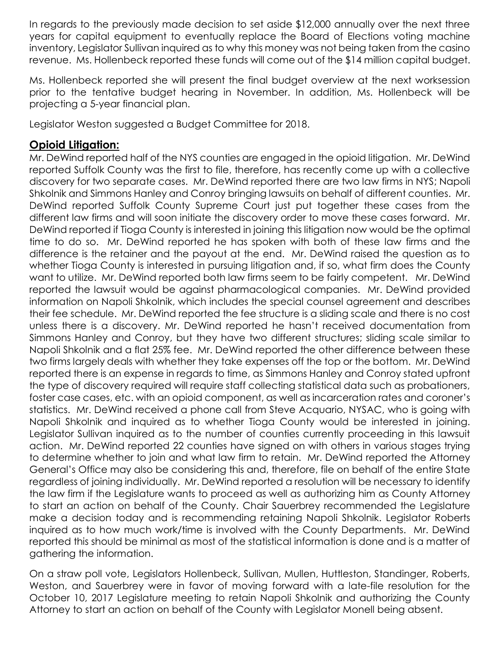In regards to the previously made decision to set aside \$12,000 annually over the next three years for capital equipment to eventually replace the Board of Elections voting machine inventory, Legislator Sullivan inquired as to why this money was not being taken from the casino revenue. Ms. Hollenbeck reported these funds will come out of the \$14 million capital budget.

Ms. Hollenbeck reported she will present the final budget overview at the next worksession prior to the tentative budget hearing in November. In addition, Ms. Hollenbeck will be projecting a 5-year financial plan.

Legislator Weston suggested a Budget Committee for 2018.

### **Opioid Litigation:**

Mr. DeWind reported half of the NYS counties are engaged in the opioid litigation. Mr. DeWind reported Suffolk County was the first to file, therefore, has recently come up with a collective discovery for two separate cases. Mr. DeWind reported there are two law firms in NYS; Napoli Shkolnik and Simmons Hanley and Conroy bringing lawsuits on behalf of different counties. Mr. DeWind reported Suffolk County Supreme Court just put together these cases from the different law firms and will soon initiate the discovery order to move these cases forward. Mr. DeWind reported if Tioga County is interested in joining this litigation now would be the optimal time to do so. Mr. DeWind reported he has spoken with both of these law firms and the difference is the retainer and the payout at the end. Mr. DeWind raised the question as to whether Tioga County is interested in pursuing litigation and, if so, what firm does the County want to utilize. Mr. DeWind reported both law firms seem to be fairly competent. Mr. DeWind reported the lawsuit would be against pharmacological companies. Mr. DeWind provided information on Napoli Shkolnik, which includes the special counsel agreement and describes their fee schedule. Mr. DeWind reported the fee structure is a sliding scale and there is no cost unless there is a discovery. Mr. DeWind reported he hasn't received documentation from Simmons Hanley and Conroy, but they have two different structures; sliding scale similar to Napoli Shkolnik and a flat 25% fee. Mr. DeWind reported the other difference between these two firms largely deals with whether they take expenses off the top or the bottom. Mr. DeWind reported there is an expense in regards to time, as Simmons Hanley and Conroy stated upfront the type of discovery required will require staff collecting statistical data such as probationers, foster case cases, etc. with an opioid component, as well as incarceration rates and coroner's statistics. Mr. DeWind received a phone call from Steve Acquario, NYSAC, who is going with Napoli Shkolnik and inquired as to whether Tioga County would be interested in joining. Legislator Sullivan inquired as to the number of counties currently proceeding in this lawsuit action. Mr. DeWind reported 22 counties have signed on with others in various stages trying to determine whether to join and what law firm to retain. Mr. DeWind reported the Attorney General's Office may also be considering this and, therefore, file on behalf of the entire State regardless of joining individually. Mr. DeWind reported a resolution will be necessary to identify the law firm if the Legislature wants to proceed as well as authorizing him as County Attorney to start an action on behalf of the County. Chair Sauerbrey recommended the Legislature make a decision today and is recommending retaining Napoli Shkolnik. Legislator Roberts inquired as to how much work/time is involved with the County Departments. Mr. DeWind reported this should be minimal as most of the statistical information is done and is a matter of gathering the information.

On a straw poll vote, Legislators Hollenbeck, Sullivan, Mullen, Huttleston, Standinger, Roberts, Weston, and Sauerbrey were in favor of moving forward with a late-file resolution for the October 10, 2017 Legislature meeting to retain Napoli Shkolnik and authorizing the County Attorney to start an action on behalf of the County with Legislator Monell being absent.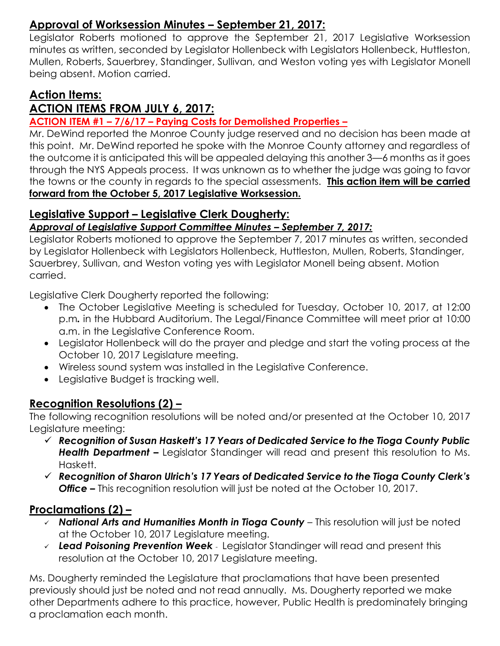# **Approval of Worksession Minutes – September 21, 2017:**

Legislator Roberts motioned to approve the September 21, 2017 Legislative Worksession minutes as written, seconded by Legislator Hollenbeck with Legislators Hollenbeck, Huttleston, Mullen, Roberts, Sauerbrey, Standinger, Sullivan, and Weston voting yes with Legislator Monell being absent. Motion carried.

# **Action Items:**

# **ACTION ITEMS FROM JULY 6, 2017:**

#### **ACTION ITEM #1 – 7/6/17 – Paying Costs for Demolished Properties –**

Mr. DeWind reported the Monroe County judge reserved and no decision has been made at this point. Mr. DeWind reported he spoke with the Monroe County attorney and regardless of the outcome it is anticipated this will be appealed delaying this another 3—6 months as it goes through the NYS Appeals process. It was unknown as to whether the judge was going to favor the towns or the county in regards to the special assessments. **This action item will be carried forward from the October 5, 2017 Legislative Worksession.** ī

# **Legislative Support – Legislative Clerk Dougherty:**

#### *Approval of Legislative Support Committee Minutes – September 7, 2017:*

Legislator Roberts motioned to approve the September 7, 2017 minutes as written, seconded by Legislator Hollenbeck with Legislators Hollenbeck, Huttleston, Mullen, Roberts, Standinger, Sauerbrey, Sullivan, and Weston voting yes with Legislator Monell being absent. Motion carried.

Legislative Clerk Dougherty reported the following:

- The October Legislative Meeting is scheduled for Tuesday, October 10, 2017, at 12:00 p.m*.* in the Hubbard Auditorium. The Legal/Finance Committee will meet prior at 10:00 a.m. in the Legislative Conference Room.
- Legislator Hollenbeck will do the prayer and pledge and start the voting process at the October 10, 2017 Legislature meeting.
- Wireless sound system was installed in the Legislative Conference.
- Legislative Budget is tracking well.

# **Recognition Resolutions (2) –**

The following recognition resolutions will be noted and/or presented at the October 10, 2017 Legislature meeting:

- *Recognition of Susan Haskett's 17 Years of Dedicated Service to the Tioga County Public*  **Health Department –** Legislator Standinger will read and present this resolution to Ms. Haskett.
- *Recognition of Sharon Ulrich's 17 Years of Dedicated Service to the Tioga County Clerk's Office –* This recognition resolution will just be noted at the October 10, 2017.

### **Proclamations (2) –**

- *National Arts and Humanities Month in Tioga County* This resolution will just be noted at the October 10, 2017 Legislature meeting.
- *Lead Poisoning Prevention Week* Legislator Standinger will read and present this resolution at the October 10, 2017 Legislature meeting.

Ms. Dougherty reminded the Legislature that proclamations that have been presented previously should just be noted and not read annually. Ms. Dougherty reported we make other Departments adhere to this practice, however, Public Health is predominately bringing a proclamation each month.